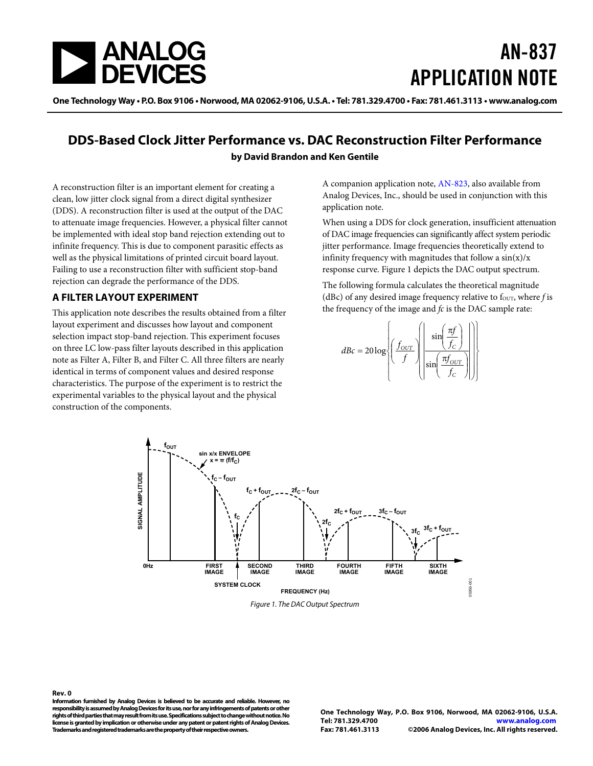<span id="page-0-1"></span>

# AN-837 APPLICATION NOTE

One Technology Way • P.O. Box 9106 • Norwood, MA 02062-9106, U.S.A. • Tel: 781.329.4700 • Fax: 781.461.3113 • www.analog.com

### **DDS-Based Clock Jitter Performance vs. DAC Reconstruction Filter Performance by David Brandon and Ken Gentile**

A reconstruction filter is an important element for creating a clean, low jitter clock signal from a direct digital synthesizer (DDS). A reconstruction filter is used at the output of the DAC to attenuate image frequencies. However, a physical filter cannot be implemented with ideal stop band rejection extending out to infinite frequency. This is due to component parasitic effects as well as the physical limitations of printed circuit board layout. Failing to use a reconstruction filter with sufficient stop-band rejection can degrade the performance of the DDS.

#### **A FILTER LAYOUT EXPERIMENT**

This application note describes the results obtained from a filter layout experiment and discusses how layout and component selection impact stop-band rejection. This experiment focuses on three LC low-pass filter layouts described in this application note as Filter A, Filter B, and Filter C. All three filters are nearly identical in terms of component values and desired response characteristics. The purpose of the experiment is to restrict the experimental variables to the physical layout and the physical construction of the components.

A companion application note, [AN-823,](http://www.analog.com/an-823) also available from Analog Devices, Inc., should be used in conjunction with this application note.

When using a DDS for clock generation, insufficient attenuation of DAC image frequencies can significantly affect system periodic jitter performance. Image frequencies theoretically extend to infinity frequency with magnitudes that follow a  $sin(x)/x$ response curve. [Figure 1](#page-0-0) depicts the DAC output spectrum.

The following formula calculates the theoretical magnitude ( $dBc$ ) of any desired image frequency relative to f<sub>OUT</sub>, where *f* is the frequency of the image and *fc* is the DAC sample rate:

$$
dBc = 20 \log \left\{ \left( \frac{f_{OUT}}{f} \right) \left( \frac{\sin \left( \frac{\pi f}{f_C} \right)}{\sin \left( \frac{\pi f_{OUT}}{f_C} \right)} \right) \right\}
$$



Figure 1. The DAC Output Spectrum

<span id="page-0-0"></span>**Rev. 0 Information furnished by Analog Devices is believed to be accurate and reliable. However, no responsibility is assumed by Analog Devices for its use, nor for any infringements of patents or other rights of third parties that may result from its use. Specifications subject to change without notice. No license is granted by implication or otherwise under any patent or patent rights of Analog Devices. Trademarks and registered trademarks are the property of their respective owners.** 

**One Technology Way, P.O. Box 9106, Norwood, MA 02062-9106, U.S.A. Tel: 781.329.4700 www.analog.com Fax: 781.461.3113 ©2006 Analog Devices, Inc. All rights reserved.**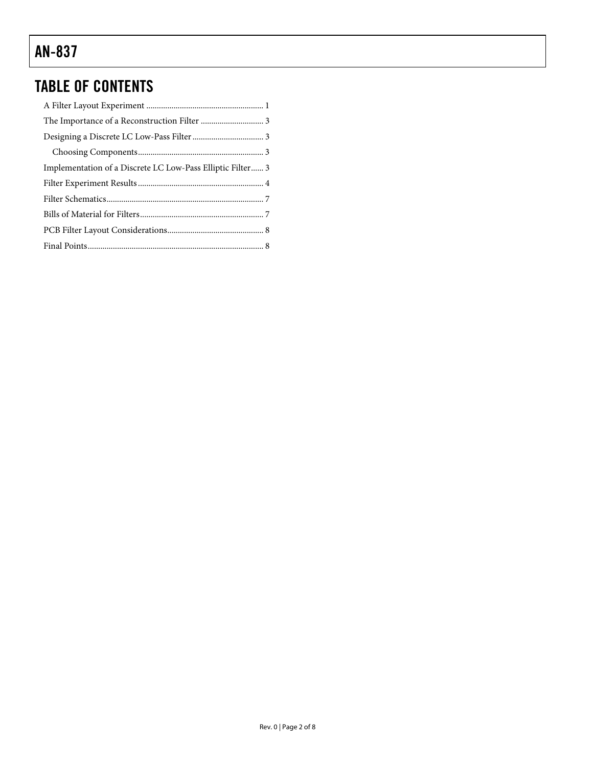### TABLE OF CONTENTS

| Implementation of a Discrete LC Low-Pass Elliptic Filter 3 |  |
|------------------------------------------------------------|--|
|                                                            |  |
|                                                            |  |
|                                                            |  |
|                                                            |  |
|                                                            |  |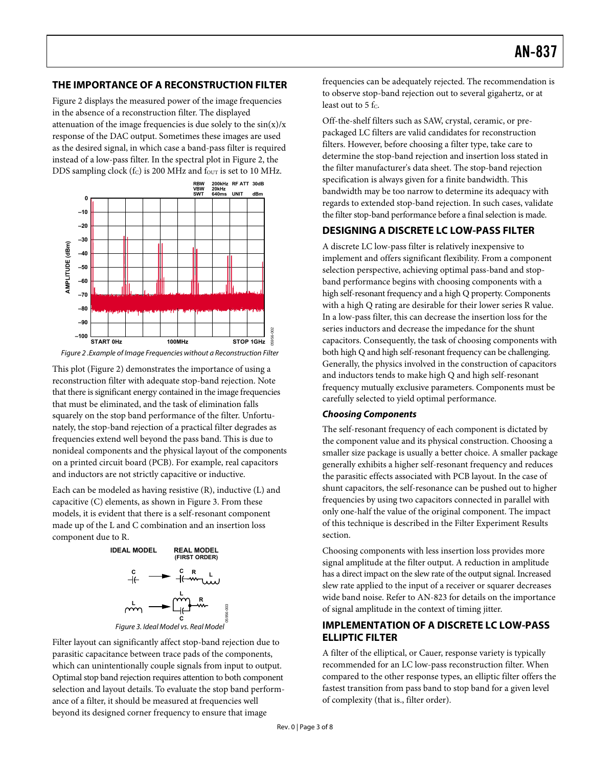#### <span id="page-2-0"></span>**THE IMPORTANCE OF A RECONSTRUCTION FILTER**

Figure 2 displays the measured power of the image frequencies in the absence of a reconstruction filter. The displayed attenuation of the image frequencies is due solely to the  $sin(x)/x$ response of the DAC output. Sometimes these images are used as the desired signal, in which case a band-pass filter is required instead of a low-pass filter. In the spectral plot in Figure 2, the DDS sampling clock (fc) is 200 MHz and four is set to 10 MHz.





This plot (Figure 2) demonstrates the importance of using a reconstruction filter with adequate stop-band rejection. Note that there is significant energy contained in the image frequencies that must be eliminated, and the task of elimination falls squarely on the stop band performance of the filter. Unfortunately, the stop-band rejection of a practical filter degrades as frequencies extend well beyond the pass band. This is due to nonideal components and the physical layout of the components on a printed circuit board (PCB). For example, real capacitors and inductors are not strictly capacitive or inductive.

Each can be modeled as having resistive (R), inductive (L) and capacitive (C) elements, as shown in Figure 3. From these models, it is evident that there is a self-resonant component made up of the L and C combination and an insertion loss component due to R.





Filter layout can significantly affect stop-band rejection due to parasitic capacitance between trace pads of the components, which can unintentionally couple signals from input to output. Optimal stop band rejection requires attention to both component selection and layout details. To evaluate the stop band performance of a filter, it should be measured at frequencies well beyond its designed corner frequency to ensure that image

frequencies can be adequately rejected. The recommendation is to observe stop-band rejection out to several gigahertz, or at least out to  $5$  f<sub>c</sub>.

Off-the-shelf filters such as SAW, crystal, ceramic, or prepackaged LC filters are valid candidates for reconstruction filters. However, before choosing a filter type, take care to determine the stop-band rejection and insertion loss stated in the filter manufacturer's data sheet. The stop-band rejection specification is always given for a finite bandwidth. This bandwidth may be too narrow to determine its adequacy with regards to extended stop-band rejection. In such cases, validate the filter stop-band performance before a final selection is made.

#### **DESIGNING A DISCRETE LC LOW-PASS FILTER**

A discrete LC low-pass filter is relatively inexpensive to implement and offers significant flexibility. From a component selection perspective, achieving optimal pass-band and stopband performance begins with choosing components with a high self-resonant frequency and a high Q property. Components with a high Q rating are desirable for their lower series R value. In a low-pass filter, this can decrease the insertion loss for the series inductors and decrease the impedance for the shunt capacitors. Consequently, the task of choosing components with both high Q and high self-resonant frequency can be challenging. Generally, the physics involved in the construction of capacitors and inductors tends to make high Q and high self-resonant frequency mutually exclusive parameters. Components must be carefully selected to yield optimal performance.

#### **Choosing Components**

The self-resonant frequency of each component is dictated by the component value and its physical construction. Choosing a smaller size package is usually a better choice. A smaller package generally exhibits a higher self-resonant frequency and reduces the parasitic effects associated with PCB layout. In the case of shunt capacitors, the self-resonance can be pushed out to higher frequencies by using two capacitors connected in parallel with only one-half the value of the original component. The impact of this technique is described in the [Filter Experiment Results](#page-3-1) section.

Choosing components with less insertion loss provides more signal amplitude at the filter output. A reduction in amplitude has a direct impact on the slew rate of the output signal. Increased slew rate applied to the input of a receiver or squarer decreases wide band noise. Refer to [AN-823](http://www.analog.com/an-823) for details on the importance of signal amplitude in the context of timing jitter.

#### **IMPLEMENTATION OF A DISCRETE LC LOW-PASS ELLIPTIC FILTER**

A filter of the elliptical, or Cauer, response variety is typically recommended for an LC low-pass reconstruction filter. When compared to the other response types, an elliptic filter offers the fastest transition from pass band to stop band for a given level of complexity (that is., filter order).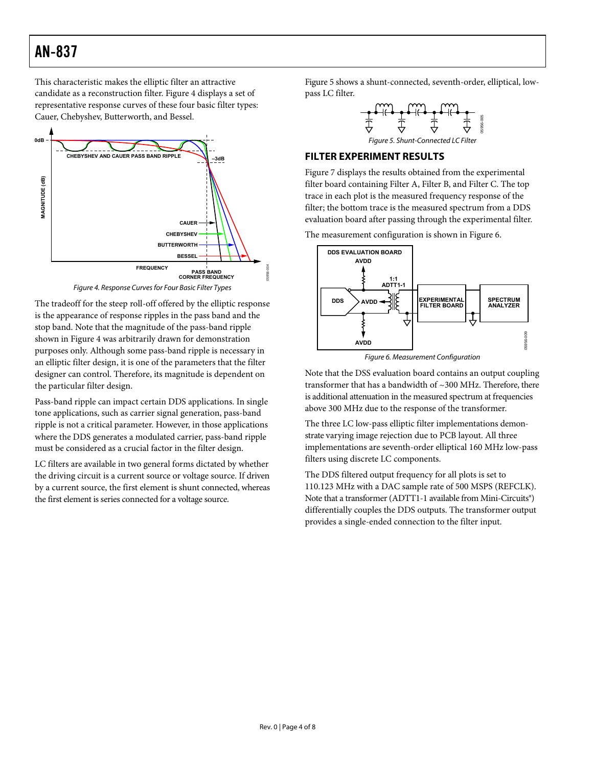<span id="page-3-0"></span>This characteristic makes the elliptic filter an attractive candidate as a reconstruction filter. Figure 4 displays a set of representative response curves of these four basic filter types: Cauer, Chebyshev, Butterworth, and Bessel.

<span id="page-3-1"></span>

Figure 4. Response Curves for Four Basic Filter Types

The tradeoff for the steep roll-off offered by the elliptic response is the appearance of response ripples in the pass band and the stop band. Note that the magnitude of the pass-band ripple shown in Figure 4 was arbitrarily drawn for demonstration purposes only. Although some pass-band ripple is necessary in an elliptic filter design, it is one of the parameters that the filter designer can control. Therefore, its magnitude is dependent on the particular filter design.

Pass-band ripple can impact certain DDS applications. In single tone applications, such as carrier signal generation, pass-band ripple is not a critical parameter. However, in those applications where the DDS generates a modulated carrier, pass-band ripple must be considered as a crucial factor in the filter design.

LC filters are available in two general forms dictated by whether the driving circuit is a current source or voltage source. If driven by a current source, the first element is shunt connected, whereas the first element is series connected for a voltage source.

Figure 5 shows a shunt-connected, seventh-order, elliptical, lowpass LC filter.



#### **FILTER EXPERIMENT RESULTS**

[Figure 7](#page-4-0) displays the results obtained from the experimental filter board containing Filter A, Filter B, and Filter C. The top trace in each plot is the measured frequency response of the filter; the bottom trace is the measured spectrum from a DDS evaluation board after passing through the experimental filter.

The measurement configuration is shown in Figure 6.



Figure 6. Measurement Configuration

Note that the DSS evaluation board contains an output coupling transformer that has a bandwidth of ~300 MHz. Therefore, there is additional attenuation in the measured spectrum at frequencies above 300 MHz due to the response of the transformer.

The three LC low-pass elliptic filter implementations demonstrate varying image rejection due to PCB layout. All three implementations are seventh-order elliptical 160 MHz low-pass filters using discrete LC components.

The DDS filtered output frequency for all plots is set to 110.123 MHz with a DAC sample rate of 500 MSPS (REFCLK). Note that a transformer (ADTT1-1 available from Mini-Circuits®) differentially couples the DDS outputs. The transformer output provides a single-ended connection to the filter input.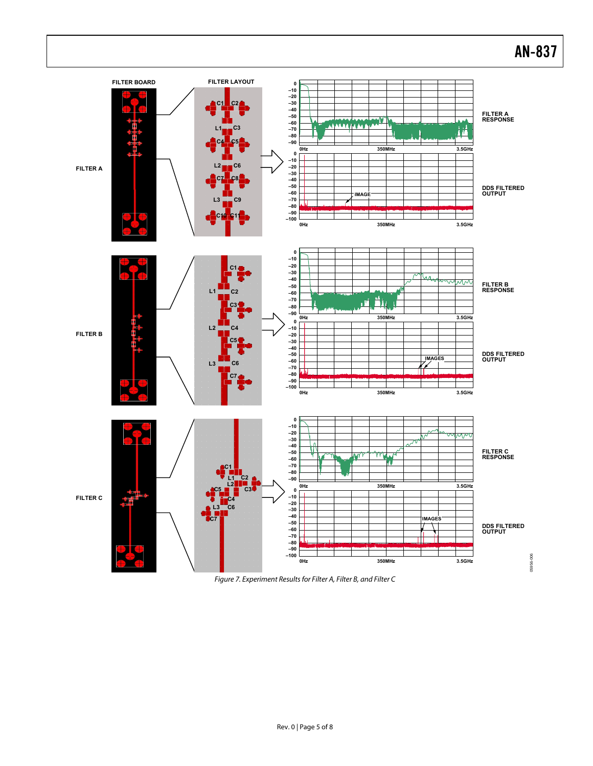<span id="page-4-0"></span>

Figure 7. Experiment Results for Filter A, Filter B, and Filter C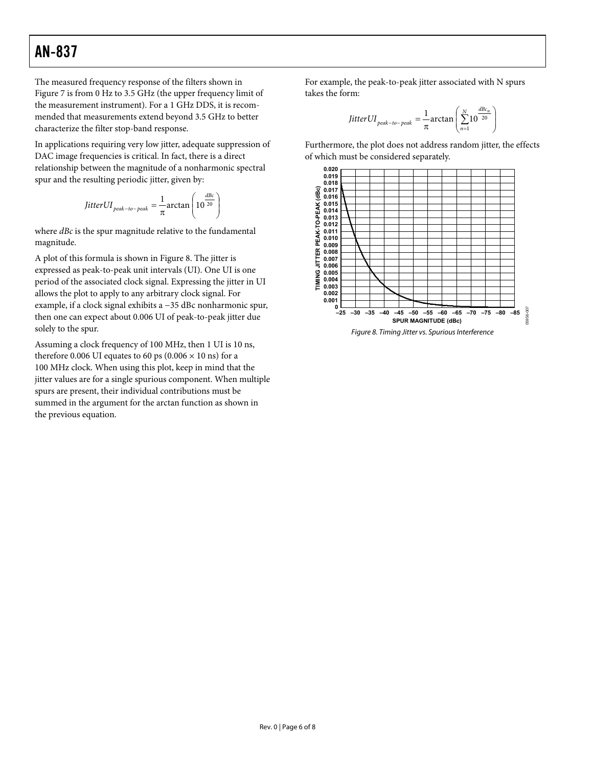The measured frequency response of the filters shown in [Figure 7](#page-4-0) is from 0 Hz to 3.5 GHz (the upper frequency limit of the measurement instrument). For a 1 GHz DDS, it is recommended that measurements extend beyond 3.5 GHz to better characterize the filter stop-band response.

In applications requiring very low jitter, adequate suppression of DAC image frequencies is critical. In fact, there is a direct relationship between the magnitude of a nonharmonic spectral spur and the resulting periodic jitter, given by:

$$
JitterUI_{peak-to-peak} = \frac{1}{\pi} arctan\left(10^{\frac{dBc}{20}}\right)
$$

where *dBc* is the spur magnitude relative to the fundamental magnitude.

A plot of this formula is shown in Figure 8. The jitter is expressed as peak-to-peak unit intervals (UI). One UI is one period of the associated clock signal. Expressing the jitter in UI allows the plot to apply to any arbitrary clock signal. For example, if a clock signal exhibits a −35 dBc nonharmonic spur, then one can expect about 0.006 UI of peak-to-peak jitter due solely to the spur.

Assuming a clock frequency of 100 MHz, then 1 UI is 10 ns, therefore 0.006 UI equates to 60 ps (0.006  $\times$  10 ns) for a 100 MHz clock. When using this plot, keep in mind that the jitter values are for a single spurious component. When multiple spurs are present, their individual contributions must be summed in the argument for the arctan function as shown in the previous equation.

For example, the peak-to-peak jitter associated with N spurs takes the form:

$$
JitterUI_{peak-to-peak} = \frac{1}{\pi} \arctan\left(\sum_{n=1}^{N} 10^{\frac{dBc_n}{20}}\right)
$$

Furthermore, the plot does not address random jitter, the effects of which must be considered separately.

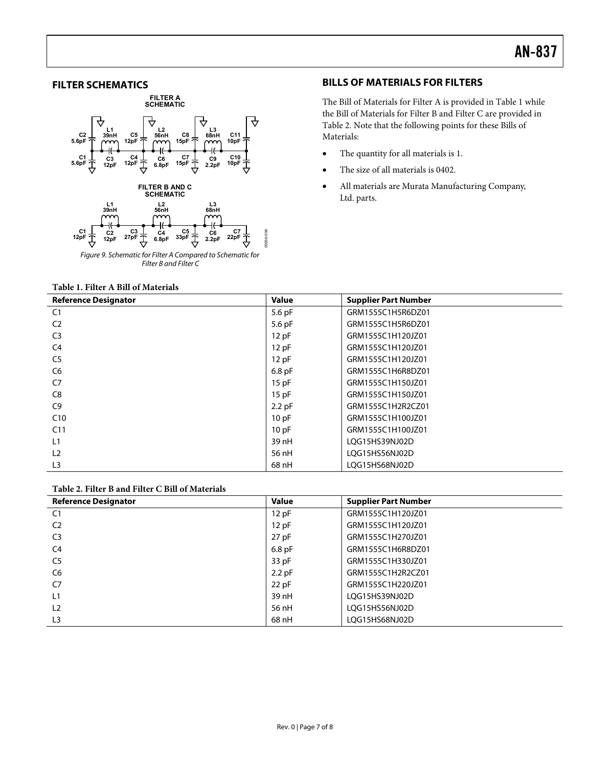#### <span id="page-6-0"></span>**FILTER SCHEMATICS**



#### **BILLS OF MATERIALS FOR FILTERS**

The Bill of Materials for Filter A is provided in Table 1 while the Bill of Materials for Filter B and Filter C are provided in Table 2. Note that the following points for these Bills of Materials:

- The quantity for all materials is 1.
- The size of all materials is 0402.
- All materials are Murata Manufacturing Company, Ltd. parts.

#### **Table 1. Filter A Bill of Materials**

| <b>Reference Designator</b> | <b>Value</b> | <b>Supplier Part Number</b> |
|-----------------------------|--------------|-----------------------------|
| C1                          | 5.6 pF       | GRM1555C1H5R6DZ01           |
| C <sub>2</sub>              | 5.6 pF       | GRM1555C1H5R6DZ01           |
| C <sub>3</sub>              | 12 pF        | GRM1555C1H120JZ01           |
| C4                          | 12 pF        | GRM1555C1H120JZ01           |
| C <sub>5</sub>              | 12 pF        | GRM1555C1H120JZ01           |
| C6                          | $6.8$ pF     | GRM1555C1H6R8DZ01           |
| C7                          | 15pF         | GRM1555C1H150JZ01           |
| C8                          | $15$ pF      | GRM1555C1H150JZ01           |
| C9                          | $2.2$ pF     | GRM1555C1H2R2CZ01           |
| C10                         | 10pF         | GRM1555C1H100JZ01           |
| C <sub>11</sub>             | 10pF         | GRM1555C1H100JZ01           |
| L1                          | 39 nH        | LOG15HS39NJ02D              |
| L <sub>2</sub>              | 56 nH        | LQG15HS56NJ02D              |
| L <sub>3</sub>              | 68 nH        | LQG15HS68NJ02D              |

#### **Table 2. Filter B and Filter C Bill of Materials**

| <b>Reference Designator</b> | <b>Value</b> | <b>Supplier Part Number</b> |
|-----------------------------|--------------|-----------------------------|
| C <sub>1</sub>              | 12pF         | GRM1555C1H120JZ01           |
| C <sub>2</sub>              | 12pF         | GRM1555C1H120JZ01           |
| C <sub>3</sub>              | $27$ pF      | GRM1555C1H270JZ01           |
| C4                          | $6.8$ pF     | GRM1555C1H6R8DZ01           |
| C <sub>5</sub>              | 33 pF        | GRM1555C1H330JZ01           |
| C6                          | $2.2$ pF     | GRM1555C1H2R2CZ01           |
| C <sub>7</sub>              | $22$ pF      | GRM1555C1H220JZ01           |
| L1                          | 39 nH        | LQG15HS39NJ02D              |
| L <sub>2</sub>              | 56 nH        | LOG15HS56NJ02D              |
| L <sub>3</sub>              | 68 nH        | LOG15HS68NJ02D              |